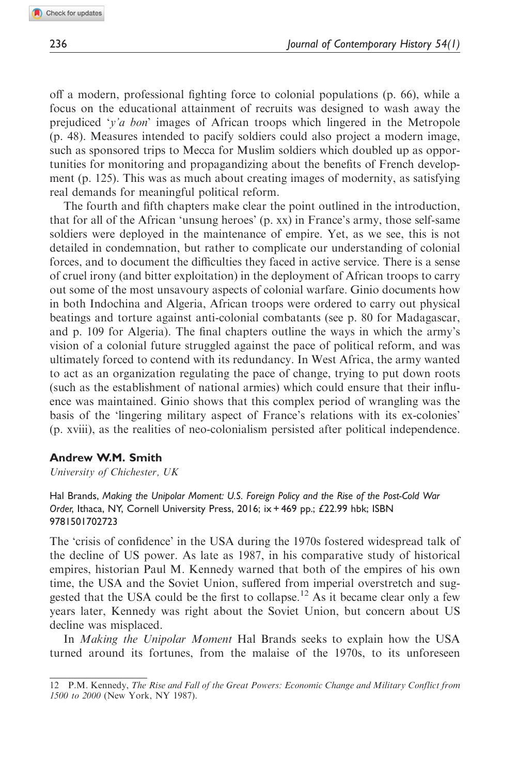off a modern, professional fighting force to colonial populations (p. 66), while a focus on the educational attainment of recruits was designed to wash away the prejudiced 'y'a bon' images of African troops which lingered in the Metropole (p. 48). Measures intended to pacify soldiers could also project a modern image, such as sponsored trips to Mecca for Muslim soldiers which doubled up as opportunities for monitoring and propagandizing about the benefits of French development (p. 125). This was as much about creating images of modernity, as satisfying real demands for meaningful political reform.

The fourth and fifth chapters make clear the point outlined in the introduction, that for all of the African 'unsung heroes' (p. xx) in France's army, those self-same soldiers were deployed in the maintenance of empire. Yet, as we see, this is not detailed in condemnation, but rather to complicate our understanding of colonial forces, and to document the difficulties they faced in active service. There is a sense of cruel irony (and bitter exploitation) in the deployment of African troops to carry out some of the most unsavoury aspects of colonial warfare. Ginio documents how in both Indochina and Algeria, African troops were ordered to carry out physical beatings and torture against anti-colonial combatants (see p. 80 for Madagascar, and p. 109 for Algeria). The final chapters outline the ways in which the army's vision of a colonial future struggled against the pace of political reform, and was ultimately forced to contend with its redundancy. In West Africa, the army wanted to act as an organization regulating the pace of change, trying to put down roots (such as the establishment of national armies) which could ensure that their influence was maintained. Ginio shows that this complex period of wrangling was the basis of the 'lingering military aspect of France's relations with its ex-colonies' (p. xviii), as the realities of neo-colonialism persisted after political independence.

## Andrew W.M. Smith

University of Chichester, UK

Hal Brands, Making the Unipolar Moment: U.S. Foreign Policy and the Rise of the Post-Cold War Order, Ithaca, NY, Cornell University Press, 2016; ix + 469 pp.; £22.99 hbk; ISBN 9781501702723

The 'crisis of confidence' in the USA during the 1970s fostered widespread talk of the decline of US power. As late as 1987, in his comparative study of historical empires, historian Paul M. Kennedy warned that both of the empires of his own time, the USA and the Soviet Union, suffered from imperial overstretch and suggested that the USA could be the first to collapse.<sup>12</sup> As it became clear only a few years later, Kennedy was right about the Soviet Union, but concern about US decline was misplaced.

In Making the Unipolar Moment Hal Brands seeks to explain how the USA turned around its fortunes, from the malaise of the 1970s, to its unforeseen

<sup>12</sup> P.M. Kennedy, The Rise and Fall of the Great Powers: Economic Change and Military Conflict from 1500 to 2000 (New York, NY 1987).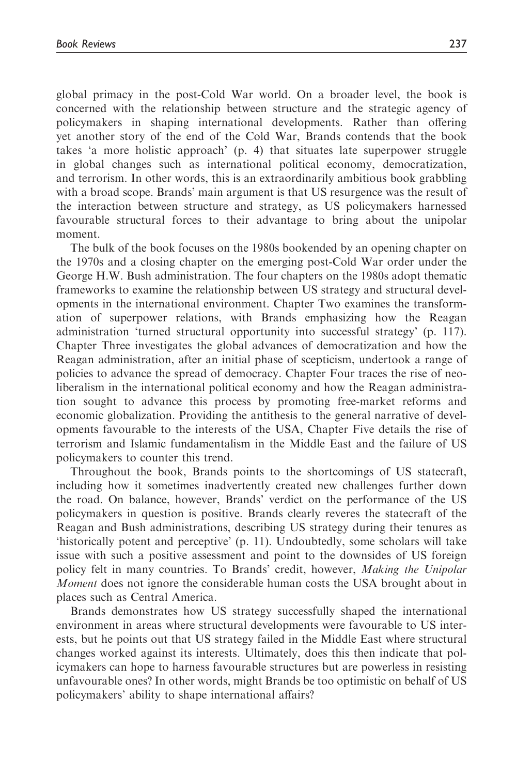global primacy in the post-Cold War world. On a broader level, the book is concerned with the relationship between structure and the strategic agency of policymakers in shaping international developments. Rather than offering yet another story of the end of the Cold War, Brands contends that the book takes 'a more holistic approach' (p. 4) that situates late superpower struggle in global changes such as international political economy, democratization, and terrorism. In other words, this is an extraordinarily ambitious book grabbling with a broad scope. Brands' main argument is that US resurgence was the result of the interaction between structure and strategy, as US policymakers harnessed favourable structural forces to their advantage to bring about the unipolar moment.

The bulk of the book focuses on the 1980s bookended by an opening chapter on the 1970s and a closing chapter on the emerging post-Cold War order under the George H.W. Bush administration. The four chapters on the 1980s adopt thematic frameworks to examine the relationship between US strategy and structural developments in the international environment. Chapter Two examines the transformation of superpower relations, with Brands emphasizing how the Reagan administration 'turned structural opportunity into successful strategy' (p. 117). Chapter Three investigates the global advances of democratization and how the Reagan administration, after an initial phase of scepticism, undertook a range of policies to advance the spread of democracy. Chapter Four traces the rise of neoliberalism in the international political economy and how the Reagan administration sought to advance this process by promoting free-market reforms and economic globalization. Providing the antithesis to the general narrative of developments favourable to the interests of the USA, Chapter Five details the rise of terrorism and Islamic fundamentalism in the Middle East and the failure of US policymakers to counter this trend.

Throughout the book, Brands points to the shortcomings of US statecraft, including how it sometimes inadvertently created new challenges further down the road. On balance, however, Brands' verdict on the performance of the US policymakers in question is positive. Brands clearly reveres the statecraft of the Reagan and Bush administrations, describing US strategy during their tenures as 'historically potent and perceptive' (p. 11). Undoubtedly, some scholars will take issue with such a positive assessment and point to the downsides of US foreign policy felt in many countries. To Brands' credit, however, Making the Unipolar *Moment* does not ignore the considerable human costs the USA brought about in places such as Central America.

Brands demonstrates how US strategy successfully shaped the international environment in areas where structural developments were favourable to US interests, but he points out that US strategy failed in the Middle East where structural changes worked against its interests. Ultimately, does this then indicate that policymakers can hope to harness favourable structures but are powerless in resisting unfavourable ones? In other words, might Brands be too optimistic on behalf of US policymakers' ability to shape international affairs?